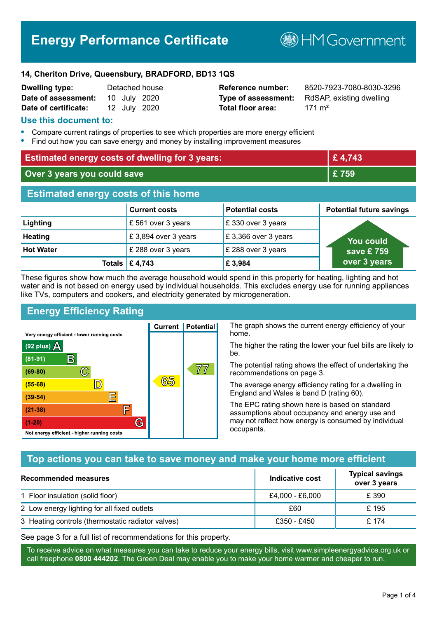# **Energy Performance Certificate**

**B**HM Government

#### **14, Cheriton Drive, Queensbury, BRADFORD, BD13 1QS**

| <b>Dwelling type:</b> |              | Detached house |
|-----------------------|--------------|----------------|
| Date of assessment:   | 10 July 2020 |                |
| Date of certificate:  | 12 July 2020 |                |

# **Total floor area:** 171 m<sup>2</sup>

**Reference number:** 8520-7923-7080-8030-3296 **Type of assessment:** RdSAP, existing dwelling

### **Use this document to:**

- **•** Compare current ratings of properties to see which properties are more energy efficient
- **•** Find out how you can save energy and money by installing improvement measures

| <b>Estimated energy costs of dwelling for 3 years:</b> |                           |                        | £4,743                          |
|--------------------------------------------------------|---------------------------|------------------------|---------------------------------|
| Over 3 years you could save                            |                           | £759                   |                                 |
| <b>Estimated energy costs of this home</b>             |                           |                        |                                 |
|                                                        | <b>Current costs</b>      | <b>Potential costs</b> | <b>Potential future savings</b> |
| Lighting                                               | £ 561 over 3 years        | £330 over 3 years      |                                 |
| <b>Heating</b>                                         | £3,894 over 3 years       | £3,366 over 3 years    | <b>You could</b>                |
| <b>Hot Water</b>                                       | £ 288 over 3 years        | £ 288 over 3 years     | save £759                       |
|                                                        | Totals $\mathsf{E}$ 4,743 | £3,984                 | over 3 years                    |

These figures show how much the average household would spend in this property for heating, lighting and hot water and is not based on energy used by individual households. This excludes energy use for running appliances like TVs, computers and cookers, and electricity generated by microgeneration.

**Current | Potential** 

65

# **Energy Efficiency Rating**

 $\mathbb{C}$ 

 $\mathbb{D}$ 

E

F

G

Very energy efficient - lower running costs

R

Not energy efficient - higher running costs

 $(92$  plus)

 $(81 - 91)$ 

 $(69 - 80)$ 

 $(55-68)$ 

 $(39 - 54)$ 

 $(21-38)$ 

 $(1-20)$ 

- 70

The graph shows the current energy efficiency of your home.

The higher the rating the lower your fuel bills are likely to be.

The potential rating shows the effect of undertaking the recommendations on page 3.

The average energy efficiency rating for a dwelling in England and Wales is band D (rating 60).

The EPC rating shown here is based on standard assumptions about occupancy and energy use and may not reflect how energy is consumed by individual occupants.

# **Top actions you can take to save money and make your home more efficient**

77

| Recommended measures                              | Indicative cost | <b>Typical savings</b><br>over 3 years |
|---------------------------------------------------|-----------------|----------------------------------------|
| 1 Floor insulation (solid floor)                  | £4,000 - £6,000 | £ 390                                  |
| 2 Low energy lighting for all fixed outlets       | £60             | £195                                   |
| 3 Heating controls (thermostatic radiator valves) | £350 - £450     | £ 174                                  |

See page 3 for a full list of recommendations for this property.

To receive advice on what measures you can take to reduce your energy bills, visit www.simpleenergyadvice.org.uk or call freephone **0800 444202**. The Green Deal may enable you to make your home warmer and cheaper to run.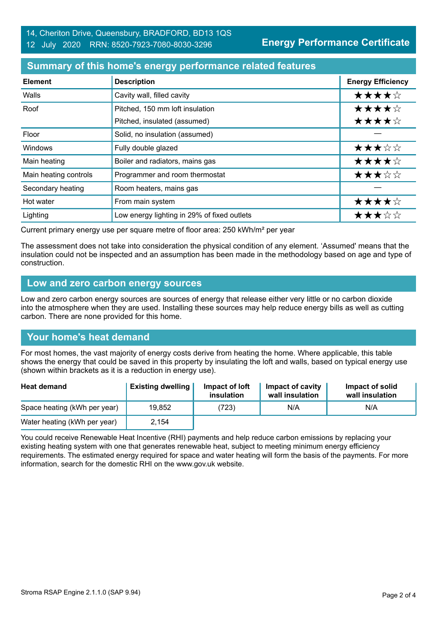**Energy Performance Certificate**

# **Summary of this home's energy performance related features**

| <b>Element</b>        | <b>Description</b>                          | <b>Energy Efficiency</b> |
|-----------------------|---------------------------------------------|--------------------------|
| Walls                 | Cavity wall, filled cavity                  | ★★★★☆                    |
| Roof                  | Pitched, 150 mm loft insulation             | ★★★★☆                    |
|                       | Pitched, insulated (assumed)                | ★★★★☆                    |
| Floor                 | Solid, no insulation (assumed)              |                          |
| Windows               | Fully double glazed                         | ★★★☆☆                    |
| Main heating          | Boiler and radiators, mains gas             | ★★★★☆                    |
| Main heating controls | Programmer and room thermostat              | ★★★☆☆                    |
| Secondary heating     | Room heaters, mains gas                     |                          |
| Hot water             | From main system                            | ★★★★☆                    |
| Lighting              | Low energy lighting in 29% of fixed outlets | ★★★☆☆                    |

Current primary energy use per square metre of floor area: 250 kWh/m² per year

The assessment does not take into consideration the physical condition of any element. 'Assumed' means that the insulation could not be inspected and an assumption has been made in the methodology based on age and type of construction.

#### **Low and zero carbon energy sources**

Low and zero carbon energy sources are sources of energy that release either very little or no carbon dioxide into the atmosphere when they are used. Installing these sources may help reduce energy bills as well as cutting carbon. There are none provided for this home.

# **Your home's heat demand**

For most homes, the vast majority of energy costs derive from heating the home. Where applicable, this table shows the energy that could be saved in this property by insulating the loft and walls, based on typical energy use (shown within brackets as it is a reduction in energy use).

| <b>Heat demand</b>           | <b>Existing dwelling</b> | Impact of loft<br>insulation | Impact of cavity<br>wall insulation | Impact of solid<br>wall insulation |
|------------------------------|--------------------------|------------------------------|-------------------------------------|------------------------------------|
| Space heating (kWh per year) | 19,852                   | (723)                        | N/A                                 | N/A                                |
| Water heating (kWh per year) | 2,154                    |                              |                                     |                                    |

You could receive Renewable Heat Incentive (RHI) payments and help reduce carbon emissions by replacing your existing heating system with one that generates renewable heat, subject to meeting minimum energy efficiency requirements. The estimated energy required for space and water heating will form the basis of the payments. For more information, search for the domestic RHI on the www.gov.uk website.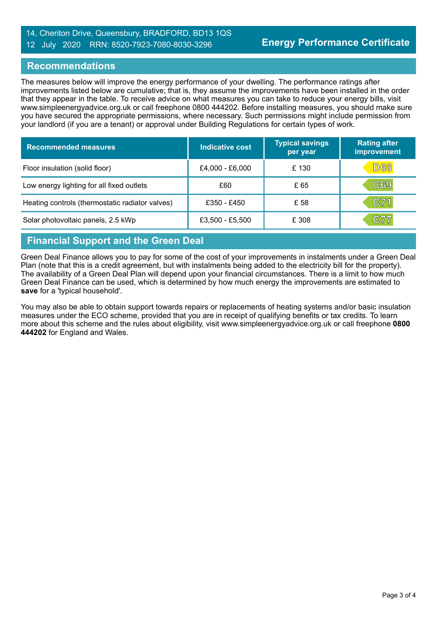### 14, Cheriton Drive, Queensbury, BRADFORD, BD13 1QS 12 July 2020 RRN: 8520-7923-7080-8030-3296

### **Recommendations**

The measures below will improve the energy performance of your dwelling. The performance ratings after improvements listed below are cumulative; that is, they assume the improvements have been installed in the order that they appear in the table. To receive advice on what measures you can take to reduce your energy bills, visit www.simpleenergyadvice.org.uk or call freephone 0800 444202. Before installing measures, you should make sure you have secured the appropriate permissions, where necessary. Such permissions might include permission from your landlord (if you are a tenant) or approval under Building Regulations for certain types of work.

| <b>Recommended measures</b>                     | <b>Indicative cost</b> | <b>Typical savings</b><br>per year | <b>Rating after</b><br>improvement |
|-------------------------------------------------|------------------------|------------------------------------|------------------------------------|
| Floor insulation (solid floor)                  | £4,000 - £6,000        | £130                               | D68                                |
| Low energy lighting for all fixed outlets       | £60                    | £ 65                               | C69                                |
| Heating controls (thermostatic radiator valves) | £350 - £450            | £ 58                               | C71                                |
| Solar photovoltaic panels, 2.5 kWp              | £3,500 - £5,500        | £ 308                              | C77                                |

# **Financial Support and the Green Deal**

Green Deal Finance allows you to pay for some of the cost of your improvements in instalments under a Green Deal Plan (note that this is a credit agreement, but with instalments being added to the electricity bill for the property). The availability of a Green Deal Plan will depend upon your financial circumstances. There is a limit to how much Green Deal Finance can be used, which is determined by how much energy the improvements are estimated to **save** for a 'typical household'.

You may also be able to obtain support towards repairs or replacements of heating systems and/or basic insulation measures under the ECO scheme, provided that you are in receipt of qualifying benefits or tax credits. To learn more about this scheme and the rules about eligibility, visit www.simpleenergyadvice.org.uk or call freephone **0800 444202** for England and Wales.